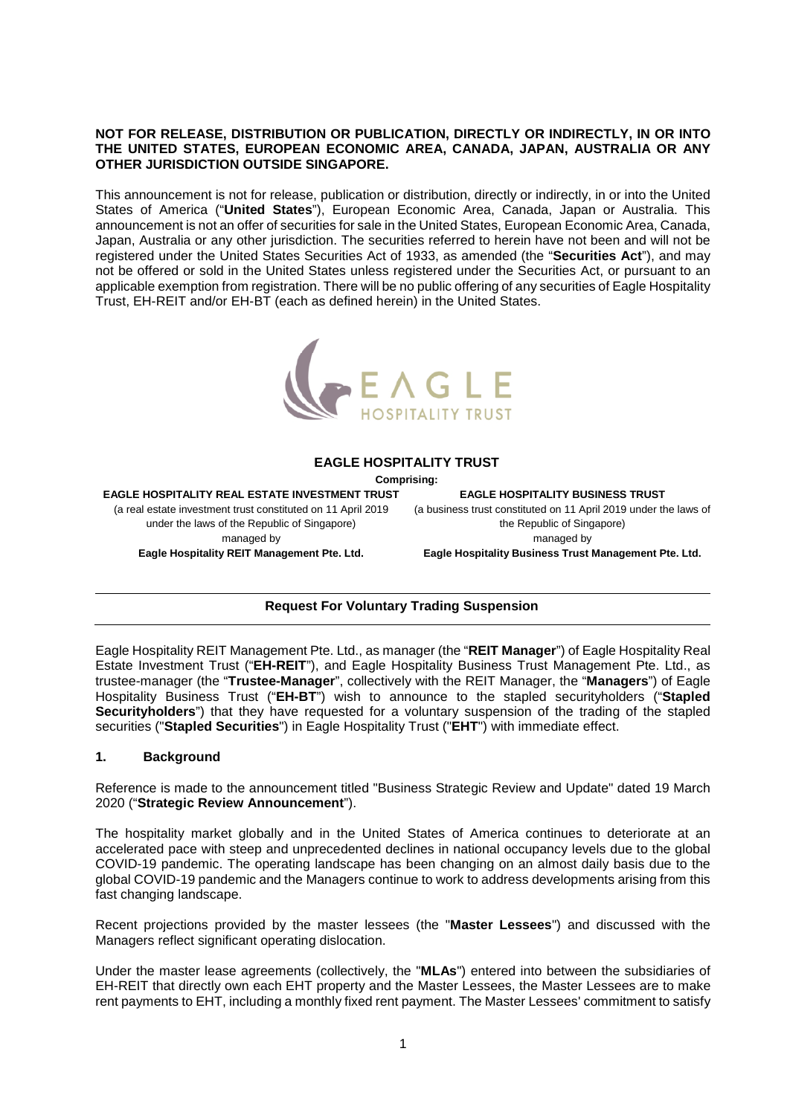## **NOT FOR RELEASE, DISTRIBUTION OR PUBLICATION, DIRECTLY OR INDIRECTLY, IN OR INTO THE UNITED STATES, EUROPEAN ECONOMIC AREA, CANADA, JAPAN, AUSTRALIA OR ANY OTHER JURISDICTION OUTSIDE SINGAPORE.**

This announcement is not for release, publication or distribution, directly or indirectly, in or into the United States of America ("**United States**"), European Economic Area, Canada, Japan or Australia. This announcement is not an offer of securities for sale in the United States, European Economic Area, Canada, Japan, Australia or any other jurisdiction. The securities referred to herein have not been and will not be registered under the United States Securities Act of 1933, as amended (the "**Securities Act**"), and may not be offered or sold in the United States unless registered under the Securities Act, or pursuant to an applicable exemption from registration. There will be no public offering of any securities of Eagle Hospitality Trust, EH-REIT and/or EH-BT (each as defined herein) in the United States.



#### **EAGLE HOSPITALITY TRUST**

**Comprising:** 

**EAGLE HOSPITALITY REAL ESTATE INVESTMENT TRUST**  (a real estate investment trust constituted on 11 April 2019 under the laws of the Republic of Singapore) managed by **Eagle Hospitality REIT Management Pte. Ltd.** 

**EAGLE HOSPITALITY BUSINESS TRUST**  (a business trust constituted on 11 April 2019 under the laws of the Republic of Singapore) managed by

**Eagle Hospitality Business Trust Management Pte. Ltd.** 

# **Request For Voluntary Trading Suspension**

Eagle Hospitality REIT Management Pte. Ltd., as manager (the "**REIT Manager**") of Eagle Hospitality Real Estate Investment Trust ("**EH-REIT**"), and Eagle Hospitality Business Trust Management Pte. Ltd., as trustee-manager (the "**Trustee-Manager**", collectively with the REIT Manager, the "**Managers**") of Eagle Hospitality Business Trust ("**EH-BT**") wish to announce to the stapled securityholders ("**Stapled Securityholders**") that they have requested for a voluntary suspension of the trading of the stapled securities ("**Stapled Securities**") in Eagle Hospitality Trust ("**EHT**") with immediate effect.

#### **1. Background**

Reference is made to the announcement titled "Business Strategic Review and Update" dated 19 March 2020 ("**Strategic Review Announcement**").

The hospitality market globally and in the United States of America continues to deteriorate at an accelerated pace with steep and unprecedented declines in national occupancy levels due to the global COVID-19 pandemic. The operating landscape has been changing on an almost daily basis due to the global COVID-19 pandemic and the Managers continue to work to address developments arising from this fast changing landscape.

Recent projections provided by the master lessees (the "**Master Lessees**") and discussed with the Managers reflect significant operating dislocation.

Under the master lease agreements (collectively, the "**MLAs**") entered into between the subsidiaries of EH-REIT that directly own each EHT property and the Master Lessees, the Master Lessees are to make rent payments to EHT, including a monthly fixed rent payment. The Master Lessees' commitment to satisfy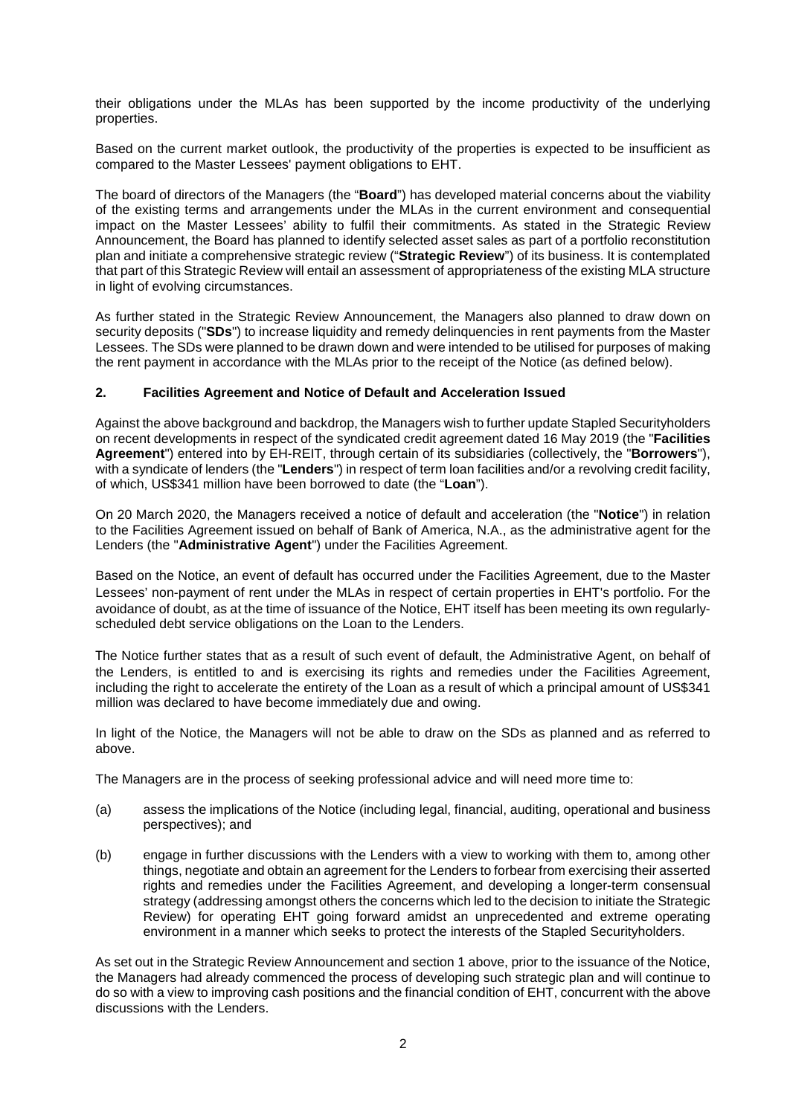their obligations under the MLAs has been supported by the income productivity of the underlying properties.

Based on the current market outlook, the productivity of the properties is expected to be insufficient as compared to the Master Lessees' payment obligations to EHT.

The board of directors of the Managers (the "**Board**") has developed material concerns about the viability of the existing terms and arrangements under the MLAs in the current environment and consequential impact on the Master Lessees' ability to fulfil their commitments. As stated in the Strategic Review Announcement, the Board has planned to identify selected asset sales as part of a portfolio reconstitution plan and initiate a comprehensive strategic review ("**Strategic Review**") of its business. It is contemplated that part of this Strategic Review will entail an assessment of appropriateness of the existing MLA structure in light of evolving circumstances.

As further stated in the Strategic Review Announcement, the Managers also planned to draw down on security deposits ("**SDs**") to increase liquidity and remedy delinquencies in rent payments from the Master Lessees. The SDs were planned to be drawn down and were intended to be utilised for purposes of making the rent payment in accordance with the MLAs prior to the receipt of the Notice (as defined below).

## **2. Facilities Agreement and Notice of Default and Acceleration Issued**

Against the above background and backdrop, the Managers wish to further update Stapled Securityholders on recent developments in respect of the syndicated credit agreement dated 16 May 2019 (the "**Facilities Agreement**") entered into by EH-REIT, through certain of its subsidiaries (collectively, the "**Borrowers**"), with a syndicate of lenders (the "**Lenders**") in respect of term loan facilities and/or a revolving credit facility, of which, US\$341 million have been borrowed to date (the "**Loan**").

On 20 March 2020, the Managers received a notice of default and acceleration (the "**Notice**") in relation to the Facilities Agreement issued on behalf of Bank of America, N.A., as the administrative agent for the Lenders (the "**Administrative Agent**") under the Facilities Agreement.

Based on the Notice, an event of default has occurred under the Facilities Agreement, due to the Master Lessees' non-payment of rent under the MLAs in respect of certain properties in EHT's portfolio. For the avoidance of doubt, as at the time of issuance of the Notice, EHT itself has been meeting its own regularlyscheduled debt service obligations on the Loan to the Lenders.

The Notice further states that as a result of such event of default, the Administrative Agent, on behalf of the Lenders, is entitled to and is exercising its rights and remedies under the Facilities Agreement, including the right to accelerate the entirety of the Loan as a result of which a principal amount of US\$341 million was declared to have become immediately due and owing.

In light of the Notice, the Managers will not be able to draw on the SDs as planned and as referred to above.

The Managers are in the process of seeking professional advice and will need more time to:

- (a) assess the implications of the Notice (including legal, financial, auditing, operational and business perspectives); and
- (b) engage in further discussions with the Lenders with a view to working with them to, among other things, negotiate and obtain an agreement for the Lenders to forbear from exercising their asserted rights and remedies under the Facilities Agreement, and developing a longer-term consensual strategy (addressing amongst others the concerns which led to the decision to initiate the Strategic Review) for operating EHT going forward amidst an unprecedented and extreme operating environment in a manner which seeks to protect the interests of the Stapled Securityholders.

As set out in the Strategic Review Announcement and section 1 above, prior to the issuance of the Notice, the Managers had already commenced the process of developing such strategic plan and will continue to do so with a view to improving cash positions and the financial condition of EHT, concurrent with the above discussions with the Lenders.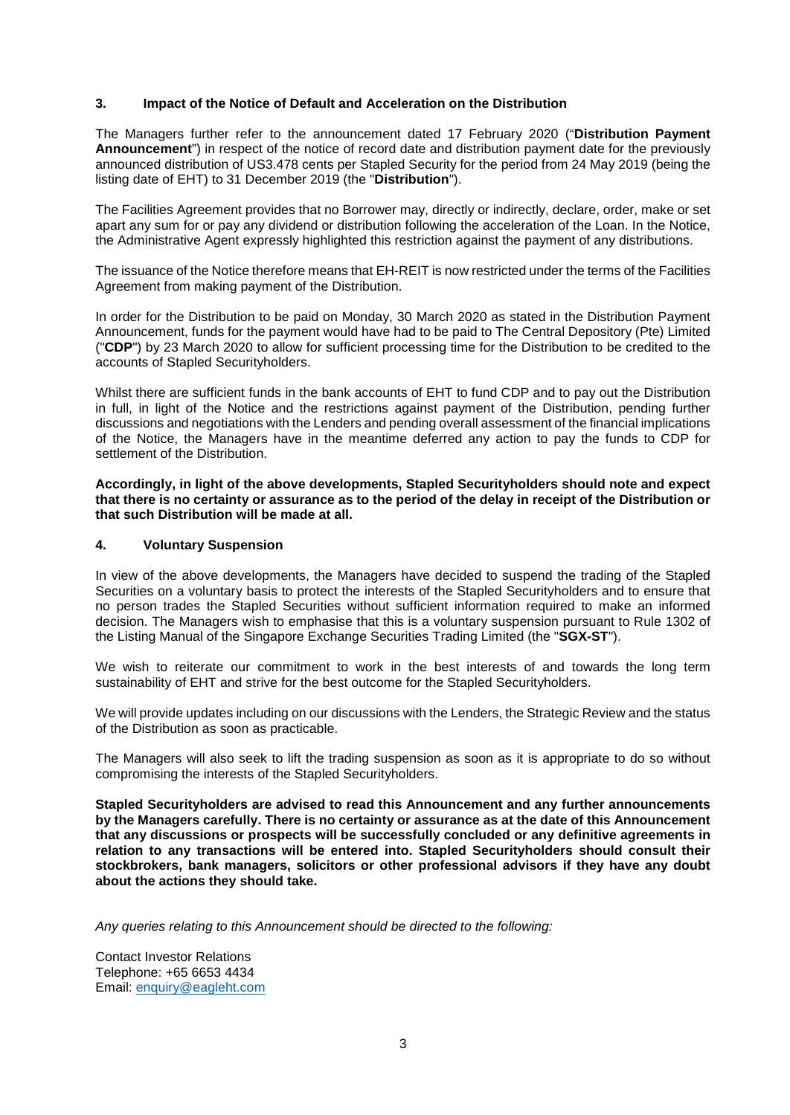## **3. Impact of the Notice of Default and Acceleration on the Distribution**

The Managers further refer to the announcement dated 17 February 2020 ("**Distribution Payment Announcement**") in respect of the notice of record date and distribution payment date for the previously announced distribution of US3.478 cents per Stapled Security for the period from 24 May 2019 (being the listing date of EHT) to 31 December 2019 (the "**Distribution**").

The Facilities Agreement provides that no Borrower may, directly or indirectly, declare, order, make or set apart any sum for or pay any dividend or distribution following the acceleration of the Loan. In the Notice, the Administrative Agent expressly highlighted this restriction against the payment of any distributions.

The issuance of the Notice therefore means that EH-REIT is now restricted under the terms of the Facilities Agreement from making payment of the Distribution.

In order for the Distribution to be paid on Monday, 30 March 2020 as stated in the Distribution Payment Announcement, funds for the payment would have had to be paid to The Central Depository (Pte) Limited ("**CDP**") by 23 March 2020 to allow for sufficient processing time for the Distribution to be credited to the accounts of Stapled Securityholders.

Whilst there are sufficient funds in the bank accounts of EHT to fund CDP and to pay out the Distribution in full, in light of the Notice and the restrictions against payment of the Distribution, pending further discussions and negotiations with the Lenders and pending overall assessment of the financial implications of the Notice, the Managers have in the meantime deferred any action to pay the funds to CDP for settlement of the Distribution.

**Accordingly, in light of the above developments, Stapled Securityholders should note and expect that there is no certainty or assurance as to the period of the delay in receipt of the Distribution or that such Distribution will be made at all.** 

#### **4. Voluntary Suspension**

In view of the above developments, the Managers have decided to suspend the trading of the Stapled Securities on a voluntary basis to protect the interests of the Stapled Securityholders and to ensure that no person trades the Stapled Securities without sufficient information required to make an informed decision. The Managers wish to emphasise that this is a voluntary suspension pursuant to Rule 1302 of the Listing Manual of the Singapore Exchange Securities Trading Limited (the "**SGX-ST**").

We wish to reiterate our commitment to work in the best interests of and towards the long term sustainability of EHT and strive for the best outcome for the Stapled Securityholders.

We will provide updates including on our discussions with the Lenders, the Strategic Review and the status of the Distribution as soon as practicable.

The Managers will also seek to lift the trading suspension as soon as it is appropriate to do so without compromising the interests of the Stapled Securityholders.

**Stapled Securityholders are advised to read this Announcement and any further announcements by the Managers carefully. There is no certainty or assurance as at the date of this Announcement that any discussions or prospects will be successfully concluded or any definitive agreements in relation to any transactions will be entered into. Stapled Securityholders should consult their stockbrokers, bank managers, solicitors or other professional advisors if they have any doubt about the actions they should take.** 

*Any queries relating to this Announcement should be directed to the following:* 

Contact Investor Relations Telephone: +65 6653 4434 Email: [enquiry@eagleht.com](mailto:enquiry@eagleht.com)